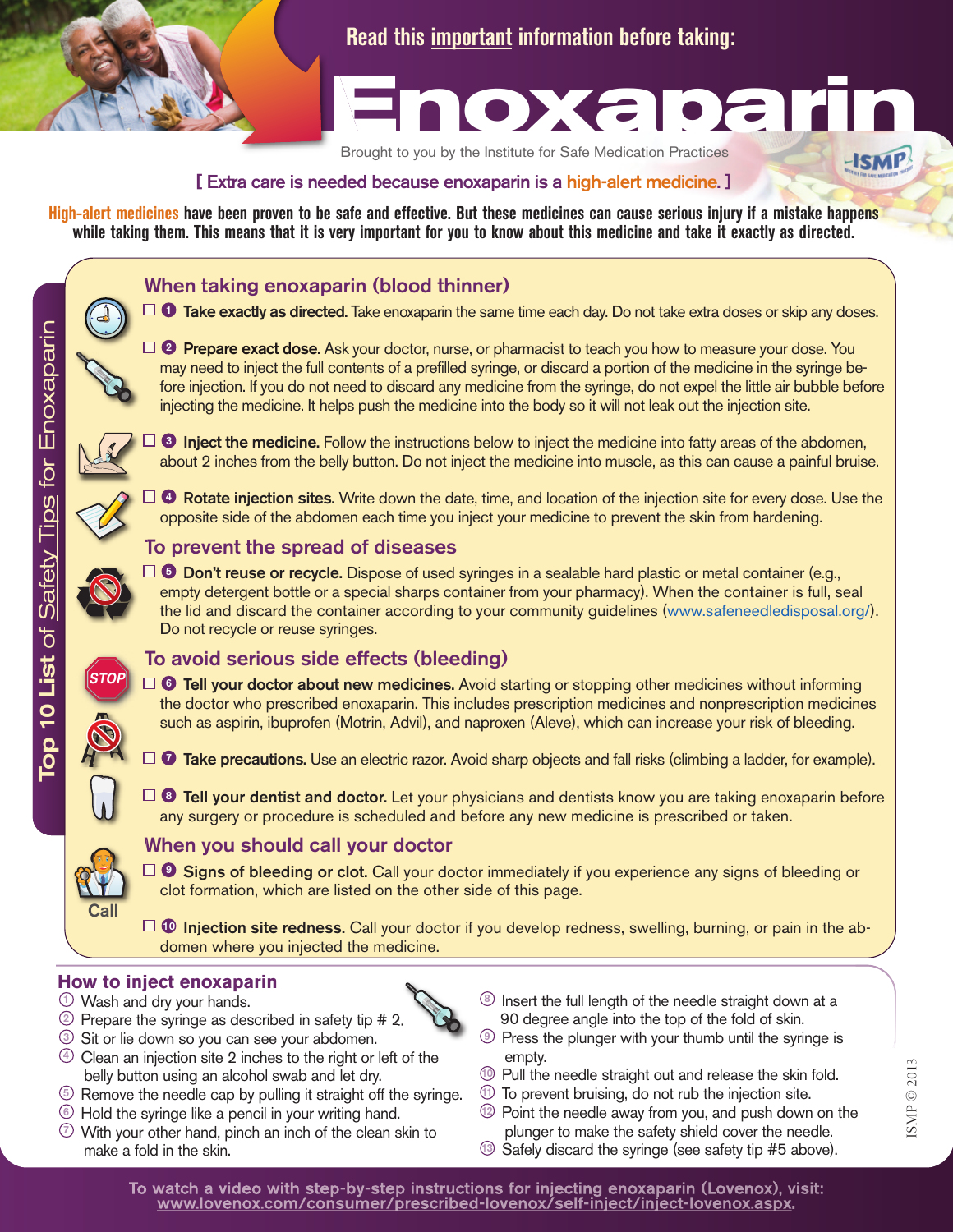

**Read this important information before taking:**



Brought t o you by t he Institute for Safe M edication

**[ Extra care is needed because enoxaparin is a high-alert medicine. ]**

High-alert medicines have been proven to be safe and effective. But these medicines can cause serious injury if a mistake happens while taking them. This means that it is very important for you to know about this medicine and take it exactly as directed.

## **When taking enoxaparin (blood thinner)**

**Take exactly as directed.** Take enoxaparin the same time each day. Do not take extra doses or skip any doses. **1**

**Prepare exact dose.** Ask your doctor, nurse, or pharmacist to teach you how to measure your dose. You **2** may need to inject the full contents of a prefilled syringe, or discard a portion of the medicine in the syringe before injection. If you do not need to discard any medicine from the syringe, do not expel the little air bubble before injecting the medicine. It helps push the medicine into the body so it will not leak out the injection site.

s fo r

 $\sqcup$  $\overline{\mathcal{C}}$ o x a <u>Q</u> a rin

**Inject the medicine.** Follow the instructions below to inject the medicine into fatty areas of the abdomen, **3** about 2 inches from the belly button. Do not inject the medicine into muscle, as this can cause a painful bruise.

**Rotate injection sites.** Write down the date, time, and location of the injection site for every dose. Use the **4** opposite side of the abdomen each time you inject your medicine to prevent the skin from hardening.

## **To prevent the spread of diseases**

**Don't reuse or recycle.** Dispose of used syringes in a sealable hard plastic or metal container (e.g., **5** empty detergent bottle or a special sharps container from your pharmacy). When the container is full, seal the lid and discard the container according to your community guidelines (www.safeneedledisposal.org/). Do not recycle or reuse syringes.

# **To avoid serious side effects (bleeding)**

**Tell your doctor about new medicines.** Avoid starting or stopping other medicines without informing **6** the doctor who prescribed enoxaparin. This includes prescription medicines and nonprescription medicines such as aspirin, ibuprofen (Motrin, Advil), and naproxen (Aleve), which can increase your risk of bleeding.

**Take precautions.** Use an electric razor. Avoid sharp objects and fall risks (climbing a ladder, for example). **7**

**Tell your dentist and doctor.** Let your physicians and dentists know you are taking enoxaparin before **8** any surgery or procedure is scheduled and before any new medicine is prescribed or taken.

# **When you should call your doctor**

**Signs of bleeding or clot.** Call your doctor immediately if you experience any signs of bleeding or **9** clot formation, which are listed on the other side of this page.

**Injection site redness.** Call your doctor if you develop redness, swelling, burning, or pain in the ab-**10** domen where you injected the medicine.

## **How to inject enoxaparin**

- Wash and dry your hands. **1**
- Prepare the syringe as described in safety tip # 2. **2**
- Sit or lie down so you can see your abdomen. **3**
- Clean an injection site 2 inches to the right or left of the **4** belly button using an alcohol swab and let dry.
- Remove the needle cap by pulling it straight off the syringe. **5**
- Hold the syringe like a pencil in your writing hand. **6**
- With your other hand, pinch an inch of the clean skin to **7** make a fold in the skin.
- Insert the full length of the needle straight down at a **8** 90 degree angle into the top of the fold of skin.
- Press the plunger with your thumb until the syringe is **9** empty.
- Pull the needle straight out and release the skin fold. **10**
- $10$  To prevent bruising, do not rub the injection site.
- Point the needle away from you, and push down on the **12** plunger to make the safety shield cover the needle.
- Safely discard the syringe (see safety tip #5 above). **<sup>13</sup>**

**Call**